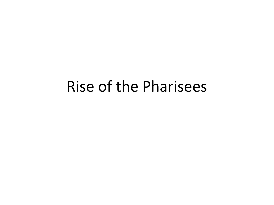#### Rise of the Pharisees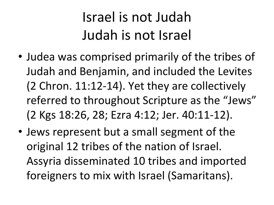### Israel is not Judah Judah is not Israel

- Judea was comprised primarily of the tribes of Judah and Benjamin, and included the Levites (2 Chron. 11:12-14). Yet they are collectively referred to throughout Scripture as the "Jews" (2 Kgs 18:26, 28; Ezra 4:12; Jer. 40:11-12).
- Jews represent but a small segment of the original 12 tribes of the nation of Israel. Assyria disseminated 10 tribes and imported foreigners to mix with Israel (Samaritans).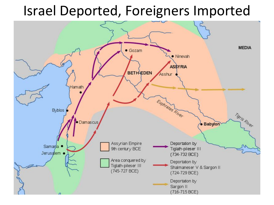#### Israel Deported, Foreigners Imported

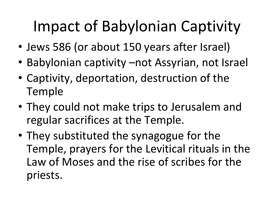# Impact of Babylonian Captivity

- Jews 586 (or about 150 years after Israel)
- Babylonian captivity –not Assyrian, not Israel
- Captivity, deportation, destruction of the Temple
- They could not make trips to Jerusalem and regular sacrifices at the Temple.
- They substituted the synagogue for the Temple, prayers for the Levitical rituals in the Law of Moses and the rise of scribes for the priests.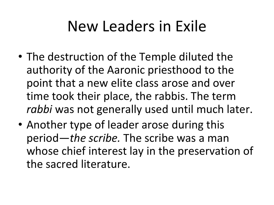## New Leaders in Exile

- The destruction of the Temple diluted the authority of the Aaronic priesthood to the point that a new elite class arose and over time took their place, the rabbis. The term *rabbi* was not generally used until much later.
- Another type of leader arose during this period—*the scribe.* The scribe was a man whose chief interest lay in the preservation of the sacred literature.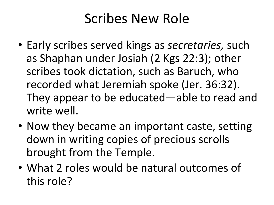#### Scribes New Role

- Early scribes served kings as *secretaries,* such as Shaphan under Josiah (2 Kgs 22:3); other scribes took dictation, such as Baruch, who recorded what Jeremiah spoke (Jer. 36:32). They appear to be educated—able to read and write well.
- Now they became an important caste, setting down in writing copies of precious scrolls brought from the Temple.
- What 2 roles would be natural outcomes of this role?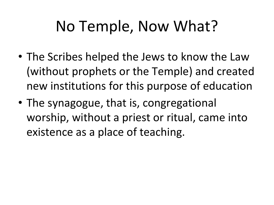## No Temple, Now What?

- The Scribes helped the Jews to know the Law (without prophets or the Temple) and created new institutions for this purpose of education
- The synagogue, that is, congregational worship, without a priest or ritual, came into existence as a place of teaching.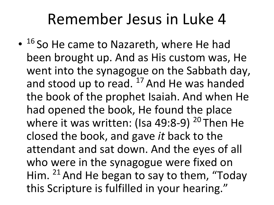### Remember Jesus in Luke 4

• 16 So He came to Nazareth, where He had been brought up. And as His custom was, He went into the synagogue on the Sabbath day, and stood up to read.  $17$  And He was handed the book of the prophet Isaiah. And when He had opened the book, He found the place where it was written: (Isa 49:8-9)  $20$  Then He closed the book, and gave *it* back to the attendant and sat down. And the eyes of all who were in the synagogue were fixed on Him.  $21$  And He began to say to them, "Today" this Scripture is fulfilled in your hearing."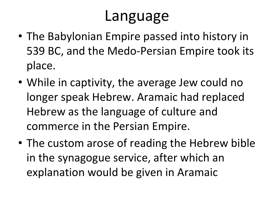### Language

- The Babylonian Empire passed into history in 539 BC, and the Medo-Persian Empire took its place.
- While in captivity, the average Jew could no longer speak Hebrew. Aramaic had replaced Hebrew as the language of culture and commerce in the Persian Empire.
- The custom arose of reading the Hebrew bible in the synagogue service, after which an explanation would be given in Aramaic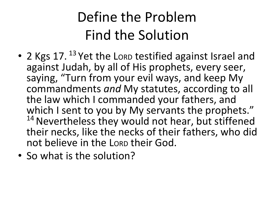### Define the Problem Find the Solution

- 2 Kgs 17.<sup>13</sup> Yet the Lorp testified against Israel and against Judah, by all of His prophets, every seer, saying, "Turn from your evil ways, and keep My commandments *and* My statutes, according to all the law which I commanded your fathers, and which I sent to you by My servants the prophets." <sup>14</sup> Nevertheless they would not hear, but stiffened their necks, like the necks of their fathers, who did not believe in the LORD their God.
- So what is the solution?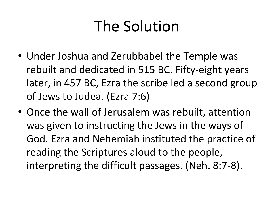## The Solution

- Under Joshua and Zerubbabel the Temple was rebuilt and dedicated in 515 BC. Fifty-eight years later, in 457 BC, Ezra the scribe led a second group of Jews to Judea. (Ezra 7:6)
- Once the wall of Jerusalem was rebuilt, attention was given to instructing the Jews in the ways of God. Ezra and Nehemiah instituted the practice of reading the Scriptures aloud to the people, interpreting the difficult passages. (Neh. 8:7-8).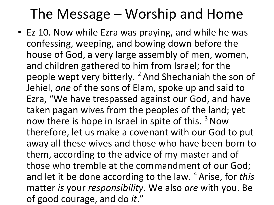#### The Message – Worship and Home

• Ez 10. Now while Ezra was praying, and while he was confessing, weeping, and bowing down before the house of God, a very large assembly of men, women, and children gathered to him from Israel; for the people wept very bitterly. <sup>2</sup> And Shechaniah the son of Jehiel, *one* of the sons of Elam, spoke up and said to Ezra, "We have trespassed against our God, and have taken pagan wives from the peoples of the land; yet now there is hope in Israel in spite of this.<sup>3</sup> Now therefore, let us make a covenant with our God to put away all these wives and those who have been born to them, according to the advice of my master and of those who tremble at the commandment of our God; and let it be done according to the law. 4 Arise, for *this* matter *is* your *responsibility*. We also *are* with you. Be of good courage, and do *it*."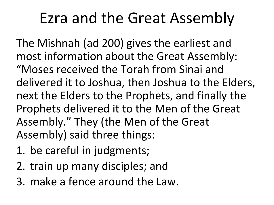## Ezra and the Great Assembly

The Mishnah (ad 200) gives the earliest and most information about the Great Assembly: "Moses received the Torah from Sinai and delivered it to Joshua, then Joshua to the Elders, next the Elders to the Prophets, and finally the Prophets delivered it to the Men of the Great Assembly." They (the Men of the Great Assembly) said three things:

- 1. be careful in judgments;
- 2. train up many disciples; and
- 3. make a fence around the Law.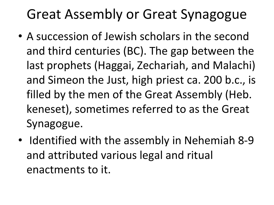#### Great Assembly or Great Synagogue

- A succession of Jewish scholars in the second and third centuries (BC). The gap between the last prophets (Haggai, Zechariah, and Malachi) and Simeon the Just, high priest ca. 200 b.c., is filled by the men of the Great Assembly (Heb. keneset), sometimes referred to as the Great Synagogue.
- Identified with the assembly in Nehemiah 8-9 and attributed various legal and ritual enactments to it.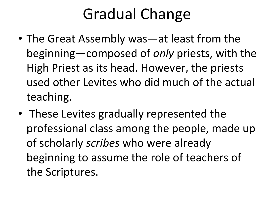## Gradual Change

- The Great Assembly was—at least from the beginning—composed of *only* priests, with the High Priest as its head. However, the priests used other Levites who did much of the actual teaching.
- These Levites gradually represented the professional class among the people, made up of scholarly *scribes* who were already beginning to assume the role of teachers of the Scriptures.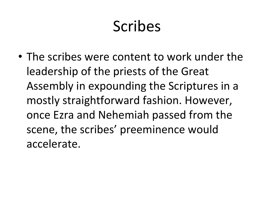## Scribes

• The scribes were content to work under the leadership of the priests of the Great Assembly in expounding the Scriptures in a mostly straightforward fashion. However, once Ezra and Nehemiah passed from the scene, the scribes' preeminence would accelerate.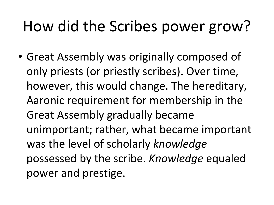# How did the Scribes power grow?

• Great Assembly was originally composed of only priests (or priestly scribes). Over time, however, this would change. The hereditary, Aaronic requirement for membership in the Great Assembly gradually became unimportant; rather, what became important was the level of scholarly *knowledge*  possessed by the scribe. *Knowledge* equaled power and prestige.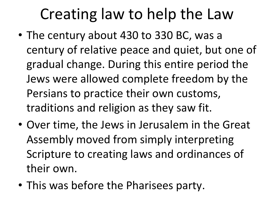# Creating law to help the Law

- The century about 430 to 330 BC, was a century of relative peace and quiet, but one of gradual change. During this entire period the Jews were allowed complete freedom by the Persians to practice their own customs, traditions and religion as they saw fit.
- Over time, the Jews in Jerusalem in the Great Assembly moved from simply interpreting Scripture to creating laws and ordinances of their own.
- This was before the Pharisees party.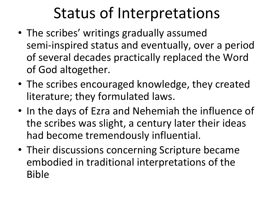## Status of Interpretations

- The scribes' writings gradually assumed semi-inspired status and eventually, over a period of several decades practically replaced the Word of God altogether.
- The scribes encouraged knowledge, they created literature; they formulated laws.
- In the days of Ezra and Nehemiah the influence of the scribes was slight, a century later their ideas had become tremendously influential.
- Their discussions concerning Scripture became embodied in traditional interpretations of the Bible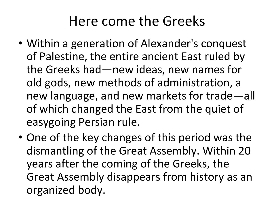#### Here come the Greeks

- Within a generation of Alexander's conquest of Palestine, the entire ancient East ruled by the Greeks had—new ideas, new names for old gods, new methods of administration, a new language, and new markets for trade—all of which changed the East from the quiet of easygoing Persian rule.
- One of the key changes of this period was the dismantling of the Great Assembly. Within 20 years after the coming of the Greeks, the Great Assembly disappears from history as an organized body.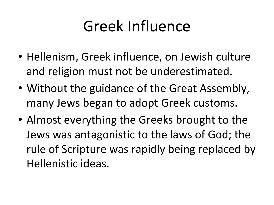## Greek Influence

- Hellenism, Greek influence, on Jewish culture and religion must not be underestimated.
- Without the guidance of the Great Assembly, many Jews began to adopt Greek customs.
- Almost everything the Greeks brought to the Jews was antagonistic to the laws of God; the rule of Scripture was rapidly being replaced by Hellenistic ideas.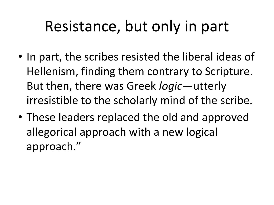## Resistance, but only in part

- In part, the scribes resisted the liberal ideas of Hellenism, finding them contrary to Scripture. But then, there was Greek *logic*—utterly irresistible to the scholarly mind of the scribe.
- These leaders replaced the old and approved allegorical approach with a new logical approach."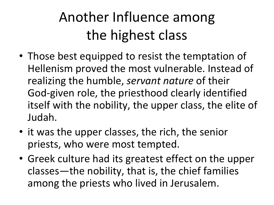### Another Influence among the highest class

- Those best equipped to resist the temptation of Hellenism proved the most vulnerable. Instead of realizing the humble, *servant nature* of their God-given role, the priesthood clearly identified itself with the nobility, the upper class, the elite of Judah.
- it was the upper classes, the rich, the senior priests, who were most tempted.
- Greek culture had its greatest effect on the upper classes—the nobility, that is, the chief families among the priests who lived in Jerusalem.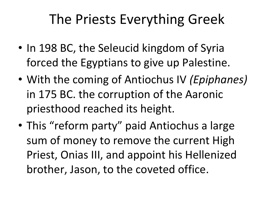#### The Priests Everything Greek

- In 198 BC, the Seleucid kingdom of Syria forced the Egyptians to give up Palestine.
- With the coming of Antiochus IV *(Epiphanes)*  in 175 BC. the corruption of the Aaronic priesthood reached its height.
- This "reform party" paid Antiochus a large sum of money to remove the current High Priest, Onias III, and appoint his Hellenized brother, Jason, to the coveted office.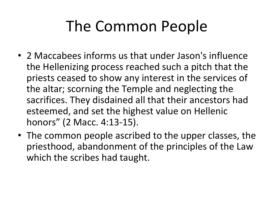# The Common People

- 2 Maccabees informs us that under Jason's influence the Hellenizing process reached such a pitch that the priests ceased to show any interest in the services of the altar; scorning the Temple and neglecting the sacrifices. They disdained all that their ancestors had esteemed, and set the highest value on Hellenic honors" (2 Macc. 4:13-15).
- The common people ascribed to the upper classes, the priesthood, abandonment of the principles of the Law which the scribes had taught.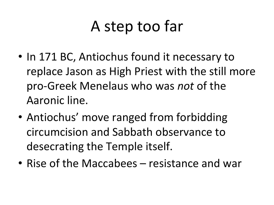## A step too far

- In 171 BC, Antiochus found it necessary to replace Jason as High Priest with the still more pro-Greek Menelaus who was *not* of the Aaronic line.
- Antiochus' move ranged from forbidding circumcision and Sabbath observance to desecrating the Temple itself.
- Rise of the Maccabees resistance and war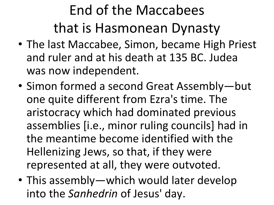## End of the Maccabees that is Hasmonean Dynasty

- The last Maccabee, Simon, became High Priest and ruler and at his death at 135 BC. Judea was now independent.
- Simon formed a second Great Assembly—but one quite different from Ezra's time. The aristocracy which had dominated previous assemblies [i.e., minor ruling councils] had in the meantime become identified with the Hellenizing Jews, so that, if they were represented at all, they were outvoted.
- This assembly—which would later develop into the *Sanhedrin* of Jesus' day.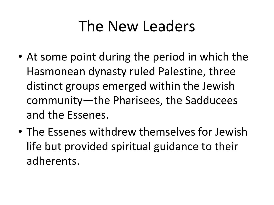### The New Leaders

- At some point during the period in which the Hasmonean dynasty ruled Palestine, three distinct groups emerged within the Jewish community—the Pharisees, the Sadducees and the Essenes.
- The Essenes withdrew themselves for Jewish life but provided spiritual guidance to their adherents.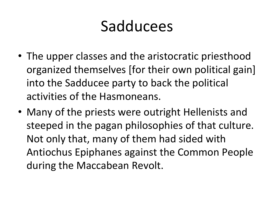### Sadducees

- The upper classes and the aristocratic priesthood organized themselves [for their own political gain] into the Sadducee party to back the political activities of the Hasmoneans.
- Many of the priests were outright Hellenists and steeped in the pagan philosophies of that culture. Not only that, many of them had sided with Antiochus Epiphanes against the Common People during the Maccabean Revolt.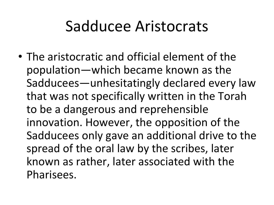### Sadducee Aristocrats

• The aristocratic and official element of the population—which became known as the Sadducees—unhesitatingly declared every law that was not specifically written in the Torah to be a dangerous and reprehensible innovation. However, the opposition of the Sadducees only gave an additional drive to the spread of the oral law by the scribes, later known as rather, later associated with the Pharisees.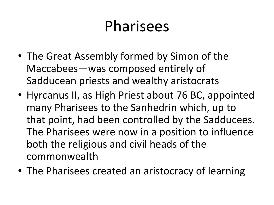## Pharisees

- The Great Assembly formed by Simon of the Maccabees—was composed entirely of Sadducean priests and wealthy aristocrats
- Hyrcanus II, as High Priest about 76 BC, appointed many Pharisees to the Sanhedrin which, up to that point, had been controlled by the Sadducees. The Pharisees were now in a position to influence both the religious and civil heads of the commonwealth
- The Pharisees created an aristocracy of learning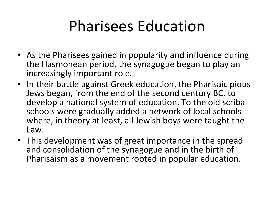## Pharisees Education

- As the Pharisees gained in popularity and influence during the Hasmonean period, the synagogue began to play an increasingly important role.
- In their battle against Greek education, the Pharisaic pious Jews began, from the end of the second century BC, to develop a national system of education. To the old scribal schools were gradually added a network of local schools where, in theory at least, all Jewish boys were taught the Law.
- This development was of great importance in the spread and consolidation of the synagogue and in the birth of Pharisaism as a movement rooted in popular education.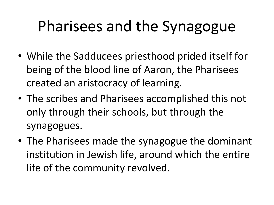# Pharisees and the Synagogue

- While the Sadducees priesthood prided itself for being of the blood line of Aaron, the Pharisees created an aristocracy of learning.
- The scribes and Pharisees accomplished this not only through their schools, but through the synagogues.
- The Pharisees made the synagogue the dominant institution in Jewish life, around which the entire life of the community revolved.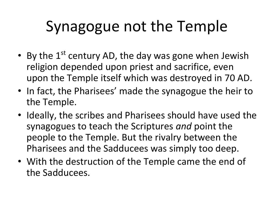# Synagogue not the Temple

- By the  $1^{st}$  century AD, the day was gone when Jewish religion depended upon priest and sacrifice, even upon the Temple itself which was destroyed in 70 AD.
- In fact, the Pharisees' made the synagogue the heir to the Temple.
- Ideally, the scribes and Pharisees should have used the synagogues to teach the Scriptures *and* point the people to the Temple. But the rivalry between the Pharisees and the Sadducees was simply too deep.
- With the destruction of the Temple came the end of the Sadducees.